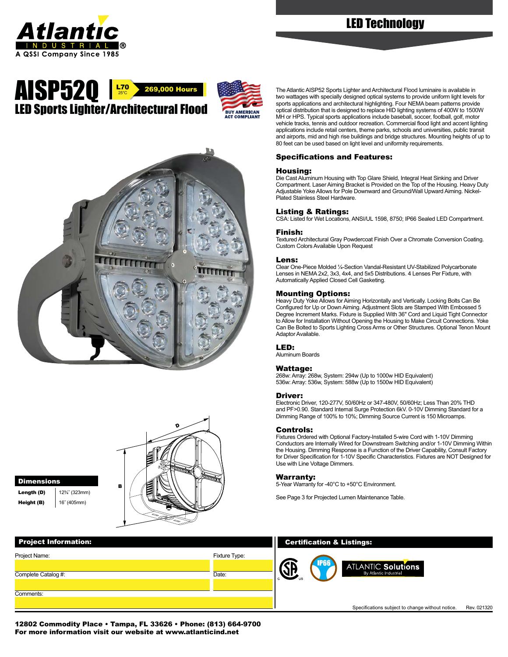# LED Technology



## LED Sports Lighter/Architectural Flood The Atlantic AISP52 Sports Lighter and Architectural Flood luminaire is available in two wattages with specially designed optical systems to provide uniform light levels **269,000 Hours**  $L70$ <sub>25°C</sub>





Dimensions **Length (D)**  $\left| \frac{12\frac{3}{4}}{323} \right|$ 



Height (B) | 16" (405mm)



two wattages with specially designed optical systems to provide uniform light levels for sports applications and architectural highlighting. Four NEMA beam patterns provide optical distribution that is designed to replace HID lighting systems of 400W to 1500W MH or HPS. Typical sports applications include baseball, soccer, football, golf, motor vehicle tracks, tennis and outdoor recreation. Commercial flood light and accent lighting applications include retail centers, theme parks, schools and universities, public transit and airports, mid and high rise buildings and bridge structures. Mounting heights of up to 80 feet can be used based on light level and uniformity requirements.

### Specifications and Features:

#### Housing:

Die Cast Aluminum Housing with Top Glare Shield, Integral Heat Sinking and Driver Compartment. Laser Aiming Bracket is Provided on the Top of the Housing. Heavy Duty Adjustable Yoke Allows for Pole Downward and Ground/Wall Upward Aiming. Nickel-Plated Stainless Steel Hardware.

#### Listing & Ratings:

CSA: Listed for Wet Locations, ANSI/UL 1598, 8750; IP66 Sealed LED Compartment.

#### Finish:

Textured Architectural Gray Powdercoat Finish Over a Chromate Conversion Coating. Custom Colors Available Upon Request

#### Lens:

Clear One-Piece Molded ¼-Section Vandal-Resistant UV-Stabilized Polycarbonate Lenses in NEMA 2x2, 3x3, 4x4, and 5x5 Distributions. 4 Lenses Per Fixture, with Automatically Applied Closed Cell Gasketing.

#### Mounting Options:

Heavy Duty Yoke Allows for Aiming Horizontally and Vertically. Locking Bolts Can Be Configured for Up or Down Aiming. Adjustment Slots are Stamped With Embossed 5 Degree Increment Marks. Fixture is Supplied With 36" Cord and Liquid Tight Connector to Allow for Installation Without Opening the Housing to Make Circuit Connections. Yoke Can Be Bolted to Sports Lighting Cross Arms or Other Structures. Optional Tenon Mount Adaptor Available.

#### LED:

Aluminum Boards

#### Wattage:

268w: Array: 268w, System: 294w (Up to 1000w HID Equivalent) 536w: Array: 536w, System: 588w (Up to 1500w HID Equivalent)

#### Driver:

Electronic Driver, 120-277V, 50/60Hz or 347-480V, 50/60Hz; Less Than 20% THD and PF>0.90. Standard Internal Surge Protection 6kV. 0-10V Dimming Standard for a Dimming Range of 100% to 10%; Dimming Source Current is 150 Microamps.

#### Controls:

Fixtures Ordered with Optional Factory-Installed 5-wire Cord with 1-10V Dimming Conductors are Internally Wired for Downstream Switching and/or 1-10V Dimming Within the Housing. Dimming Response is a Function of the Driver Capability, Consult Factory for Driver Specification for 1-10V Specific Characteristics. Fixtures are NOT Designed for Use with Line Voltage Dimmers.

#### Warranty:

5-Year Warranty for -40°C to +50°C Environment.

See Page 3 for Projected Lumen Maintenance Table.

12802 Commodity Place • Tampa, FL 33626 • Phone: (813) 664-9700 For more information visit our website at [www.atlanticind.net](http://www.atlanticind.net)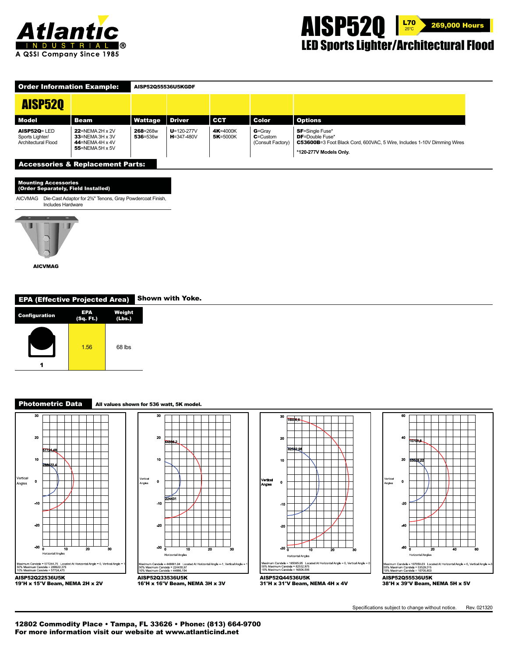



| <b>Order Information Example:</b>                         |                                                                                          | AISP52055536U5KGDF   |                                      |                      |                                                 |                                                                                                                                                                 |  |  |  |
|-----------------------------------------------------------|------------------------------------------------------------------------------------------|----------------------|--------------------------------------|----------------------|-------------------------------------------------|-----------------------------------------------------------------------------------------------------------------------------------------------------------------|--|--|--|
| <b>AISP520</b>                                            |                                                                                          |                      |                                      |                      |                                                 |                                                                                                                                                                 |  |  |  |
| <b>Model</b>                                              | <b>Beam</b>                                                                              | Wattage              | <b>Driver</b>                        | <b>CCT</b>           | <b>Color</b>                                    | <b>Options</b>                                                                                                                                                  |  |  |  |
| $A$ ISP52Q= LED<br>Sports Lighter/<br>Architectural Flood | $22$ =NEMA 2H x 2V<br>$33$ =NEMA 3H x 3V<br>$44$ =NEMA 4H x 4V<br>55=NEMA 5H $\times$ 5V | 268=268w<br>536=536w | $U = 120 - 277V$<br>$H = 347 - 480V$ | 4K=4000K<br>5K=5000K | $G =$ Gray<br>$C =$ Custom<br>(Consult Factory) | <b>SF</b> =Single Fuse*<br><b>DF</b> =Double Fuse*<br><b>C53600B</b> =3 Foot Black Cord, 600VAC, 5 Wire, Includes 1-10V Dimming Wires<br>*120-277V Models Only. |  |  |  |
| <b>Accessories &amp; Replacement Parts:</b>               |                                                                                          |                      |                                      |                      |                                                 |                                                                                                                                                                 |  |  |  |

Mounting Accessories

| mounting Accessories<br>(Order Separately, Field Installed) |                                                                                                                   |  |  |  |  |  |
|-------------------------------------------------------------|-------------------------------------------------------------------------------------------------------------------|--|--|--|--|--|
|                                                             | AICVMAG Die-Cast Adaptor for 2 <sup>3</sup> / <sub>6</sub> " Tenons, Gray Powdercoat Finish,<br>Includes Hardware |  |  |  |  |  |
|                                                             |                                                                                                                   |  |  |  |  |  |
|                                                             |                                                                                                                   |  |  |  |  |  |



EPA (Effective Projected Area) Shown with Yoke.

| <b>Configuration</b> | EPA<br>(Sq. Ft.) | Weight<br>(Lbs.) |
|----------------------|------------------|------------------|
|                      | 1.56             | 68 lbs           |

#### Photometric Data All values shown for 536 watt, 5K model.











Specifications subject to change without notice. Rev. 021320